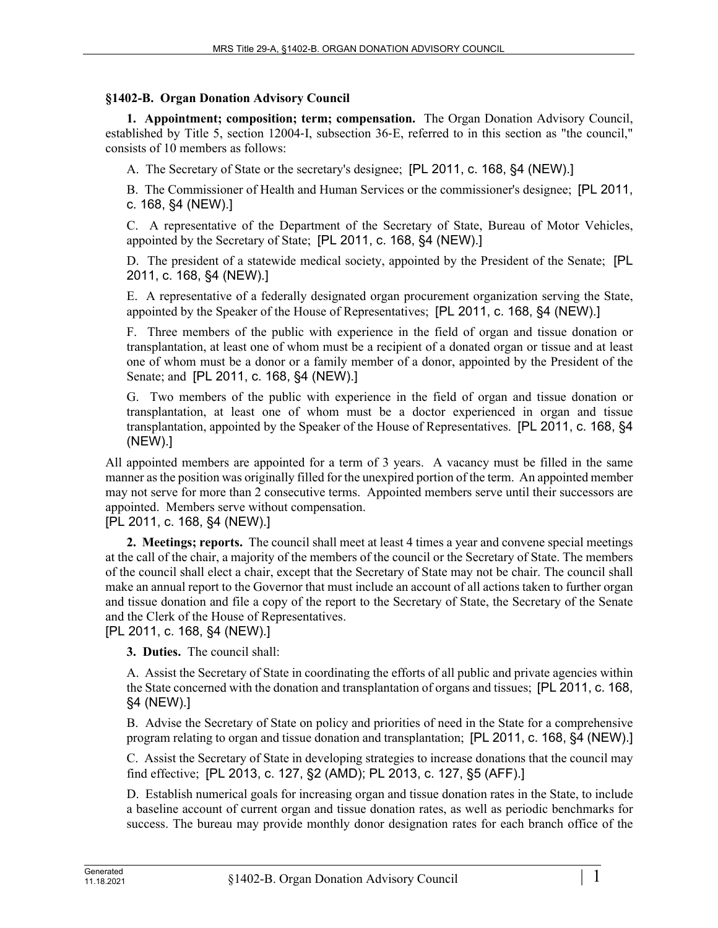## **§1402-B. Organ Donation Advisory Council**

**1. Appointment; composition; term; compensation.** The Organ Donation Advisory Council, established by Title 5, section 12004‑I, subsection 36‑E, referred to in this section as "the council," consists of 10 members as follows:

A. The Secretary of State or the secretary's designee; [PL 2011, c. 168, §4 (NEW).]

B. The Commissioner of Health and Human Services or the commissioner's designee; [PL 2011, c. 168, §4 (NEW).]

C. A representative of the Department of the Secretary of State, Bureau of Motor Vehicles, appointed by the Secretary of State; [PL 2011, c. 168, §4 (NEW).]

D. The president of a statewide medical society, appointed by the President of the Senate; [PL 2011, c. 168, §4 (NEW).]

E. A representative of a federally designated organ procurement organization serving the State, appointed by the Speaker of the House of Representatives; [PL 2011, c. 168, §4 (NEW).]

F. Three members of the public with experience in the field of organ and tissue donation or transplantation, at least one of whom must be a recipient of a donated organ or tissue and at least one of whom must be a donor or a family member of a donor, appointed by the President of the Senate; and [PL 2011, c. 168, §4 (NEW).]

G. Two members of the public with experience in the field of organ and tissue donation or transplantation, at least one of whom must be a doctor experienced in organ and tissue transplantation, appointed by the Speaker of the House of Representatives. [PL 2011, c. 168, §4 (NEW).]

All appointed members are appointed for a term of 3 years. A vacancy must be filled in the same manner as the position was originally filled for the unexpired portion of the term. An appointed member may not serve for more than 2 consecutive terms. Appointed members serve until their successors are appointed. Members serve without compensation.

[PL 2011, c. 168, §4 (NEW).]

**2. Meetings; reports.** The council shall meet at least 4 times a year and convene special meetings at the call of the chair, a majority of the members of the council or the Secretary of State. The members of the council shall elect a chair, except that the Secretary of State may not be chair. The council shall make an annual report to the Governor that must include an account of all actions taken to further organ and tissue donation and file a copy of the report to the Secretary of State, the Secretary of the Senate and the Clerk of the House of Representatives.

[PL 2011, c. 168, §4 (NEW).]

**3. Duties.** The council shall:

A. Assist the Secretary of State in coordinating the efforts of all public and private agencies within the State concerned with the donation and transplantation of organs and tissues; [PL 2011, c. 168, §4 (NEW).]

B. Advise the Secretary of State on policy and priorities of need in the State for a comprehensive program relating to organ and tissue donation and transplantation; [PL 2011, c. 168, §4 (NEW).]

C. Assist the Secretary of State in developing strategies to increase donations that the council may find effective; [PL 2013, c. 127, §2 (AMD); PL 2013, c. 127, §5 (AFF).]

D. Establish numerical goals for increasing organ and tissue donation rates in the State, to include a baseline account of current organ and tissue donation rates, as well as periodic benchmarks for success. The bureau may provide monthly donor designation rates for each branch office of the